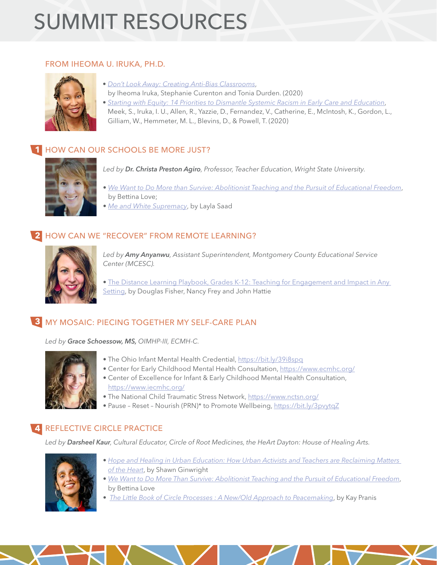# SUMMIT RESOURCES

#### FROM IHEOMA U. IRUKA, PH.D.



- *[Don't Look Away: Creating Anti-Bias Classrooms](https://www.amazon.com/Dont-Look-Away-Embracing-Classrooms/dp/0876598432)*,
- by Iheoma Iruka, Stephanie Curenton and Tonia Durden. (2020)
- *[Starting with Equity: 14 Priorities to Dismantle Systemic Racism in Early Care and Education](https://childandfamilysuccess.asu.edu/sites/default/files/2020-12/14-priorities-equity-121420.pdf)*, Meek, S., Iruka, I. U., Allen, R., Yazzie, D., Fernandez, V., Catherine, E., McIntosh, K., Gordon, L., Gilliam, W., Hemmeter, M. L., Blevins, D., & Powell, T. (2020)

# **1 HOW CAN OUR SCHOOLS BE MORE JUST?**



*Led by Dr. Christa Preston Agiro, Professor, Teacher Education, Wright State University.*

- *[We Want to Do More than Survive: Abolitionist Teaching and the Pursuit of Educational Freedom](https://www.amazon.com/Want-More-Than-Survive-Abolitionist/dp/0807069159)*, by Bettina Love;
- *[Me and White Supremacy](https://www.amazon.com/Me-White-Supremacy-Combat-Ancestor/dp/1728209803)*, by Layla Saad

# HOW CAN WE "RECOVER" FROM REMOTE LEARNING? **2**



*Led by Amy Anyanwu, Assistant Superintendent, Montgomery County Educational Service Center (MCESC).*

• [The Distance Learning Playbook, Grades K-12: Teaching for Engagement and Impact in Any](https://www.amazon.com/Distance-Learning-Playbook-Grades-K-12/dp/1071828924)  [Setting,](https://www.amazon.com/Distance-Learning-Playbook-Grades-K-12/dp/1071828924) by Douglas Fisher, Nancy Frey and John Hattie

# MY MOSAIC: PIECING TOGETHER MY SELF-CARE PLAN **3**

*Led by Grace Schoessow, MS, OIMHP-III, ECMH-C.*



- The Ohio Infant Mental Health Credential, <https://bit.ly/39i8spq>
- Center for Early Childhood Mental Health Consultation,<https://www.ecmhc.org/>
- Center of Excellence for Infant & Early Childhood Mental Health Consultation, <https://www.iecmhc.org/>
- The National Child Traumatic Stress Network, <https://www.nctsn.org/>
- Pause Reset Nourish (PRN)\* to Promote Wellbeing, <https://bit.ly/3pvytqZ>

### REFLECTIVE CIRCLE PRACTICE **4**

*Led by Darsheel Kaur, Cultural Educator, Circle of Root Medicines, the HeArt Dayton: House of Healing Arts.*



- *[Hope and Healing in Urban Education: How Urban Activists and Teachers are Reclaiming Matters](https://www.amazon.com/Hope-Healing-Urban-Education-Reclaiming/dp/113879757X)   [of the Heart](https://www.amazon.com/Hope-Healing-Urban-Education-Reclaiming/dp/113879757X)*, by Shawn Ginwright
- *[We Want to Do More Than Survive: Abolitionist Teaching and the Pursuit of Educational Freedom](https://www.amazon.com/Want-More-Than-Survive-Abolitionist/dp/0807069159)*, by Bettina Love
- *[The Little Book of Circle Processes : A New/Old Approach to Peacemaking](https://www.amazon.com/Little-Book-Circle-Processes-Peacebuilding/dp/156148461X)*, by Kay Pranis